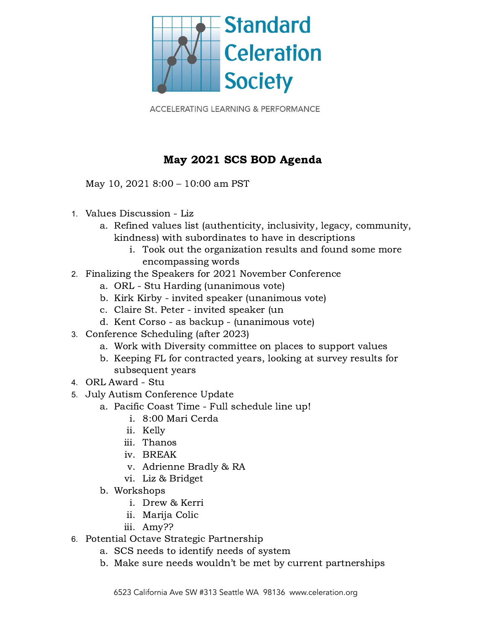

**ACCELERATING LEARNING & PERFORMANCE** 

## May 2021 SCS BOD Agenda

May 10, 2021 8:00 – 10:00 am PST

- 1. Values Discussion Liz
	- a. Refined values list (authenticity, inclusivity, legacy, community, kindness) with subordinates to have in descriptions
		- i. Took out the organization results and found some more encompassing words
- 2. Finalizing the Speakers for 2021 November Conference
	- a. ORL Stu Harding (unanimous vote)
	- b. Kirk Kirby invited speaker (unanimous vote)
	- c. Claire St. Peter invited speaker (un
	- d. Kent Corso as backup (unanimous vote)
- 3. Conference Scheduling (after 2023)
	- a. Work with Diversity committee on places to support values
	- b. Keeping FL for contracted years, looking at survey results for subsequent years
- 4. ORL Award Stu
- 5. July Autism Conference Update
	- a. Pacific Coast Time Full schedule line up!
		- i. 8:00 Mari Cerda
		- ii. Kelly
		- iii. Thanos
		- iv. BREAK
		- v. Adrienne Bradly & RA
		- vi. Liz & Bridget
	- b. Workshops
		- i. Drew & Kerri
		- ii. Marija Colic
		- iii. Amy??
- 6. Potential Octave Strategic Partnership
	- a. SCS needs to identify needs of system
	- b. Make sure needs wouldn't be met by current partnerships